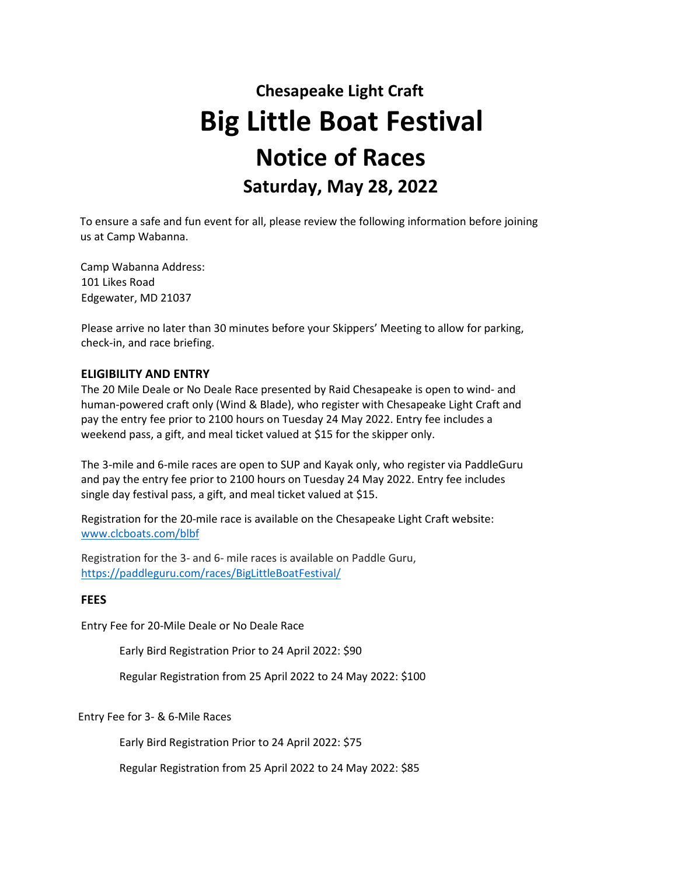# **Chesapeake Light Craft Big Little Boat Festival Notice of Races Saturday, May 28, 2022**

To ensure a safe and fun event for all, please review the following information before joining us at Camp Wabanna.

Camp Wabanna Address: 101 Likes Road Edgewater, MD 21037

Please arrive no later than 30 minutes before your Skippers' Meeting to allow for parking, check-in, and race briefing.

#### **ELIGIBILITY AND ENTRY**

The 20 Mile Deale or No Deale Race presented by Raid Chesapeake is open to wind- and human-powered craft only (Wind & Blade), who register with Chesapeake Light Craft and pay the entry fee prior to 2100 hours on Tuesday 24 May 2022. Entry fee includes a weekend pass, a gift, and meal ticket valued at \$15 for the skipper only.

The 3-mile and 6-mile races are open to SUP and Kayak only, who register via PaddleGuru and pay the entry fee prior to 2100 hours on Tuesday 24 May 2022. Entry fee includes single day festival pass, a gift, and meal ticket valued at \$15.

Registration for the 20-mile race is available on the Chesapeake Light Craft website: [www.clcboats.com/blbf](http://www.clcboats.com/blbf)

Registration for the 3- and 6- mile races is available on Paddle Guru, <https://paddleguru.com/races/BigLittleBoatFestival/>

#### **FEES**

Entry Fee for 20-Mile Deale or No Deale Race

Early Bird Registration Prior to 24 April 2022: \$90

Regular Registration from 25 April 2022 to 24 May 2022: \$100

Entry Fee for 3- & 6-Mile Races

Early Bird Registration Prior to 24 April 2022: \$75

Regular Registration from 25 April 2022 to 24 May 2022: \$85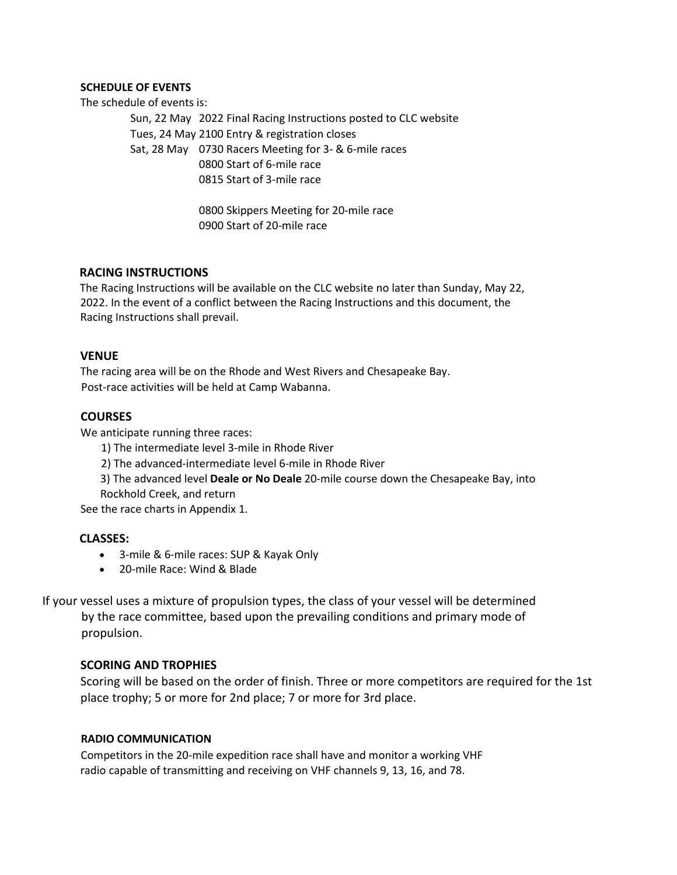#### **SCHEDULE OF EVENTS**

The schedule of events is:

Sun, 22 May 2022 Final Racing Instructions posted to CLC website Tues, 24 May 2100 Entry & registration closes Sat, 28 May 0730 Racers Meeting for 3- & 6-mile races 0800 Start of 6-mile race 0815 Start of 3-mile race

> 0800 Skippers Meeting for 20-mile race 0900 Start of 20-mile race

#### **RACING INSTRUCTIONS**

The Racing Instructions will be available on the CLC website no later than Sunday, May 22, 2022. In the event of a conflict between the Racing Instructions and this document, the Racing Instructions shall prevail.

#### **VENUE**

The racing area will be on the Rhode and West Rivers and Chesapeake Bay. Post-race activities will be held at Camp Wabanna.

# **COURSES**

We anticipate running three races:

- 1) The intermediate level 3-mile in Rhode River
- 2) The advanced-intermediate level 6-mile in Rhode River
- 3) The advanced level **Deale or No Deale** 20-mile course down the Chesapeake Bay, into Rockhold Creek, and return

See the race charts in Appendix 1.

#### **CLASSES:**

- 3-mile & 6-mile races: SUP & Kayak Only
- 20-mile Race: Wind & Blade

If your vessel uses a mixture of propulsion types, the class of your vessel will be determined by the race committee, based upon the prevailing conditions and primary mode of propulsion.

#### **SCORING AND TROPHIES**

Scoring will be based on the order of finish. Three or more competitors are required for the 1st place trophy; 5 or more for 2nd place; 7 or more for 3rd place.

#### **RADIO COMMUNICATION**

Competitors in the 20-mile expedition race shall have and monitor a working VHF radio capable of transmitting and receiving on VHF channels 9, 13, 16, and 78.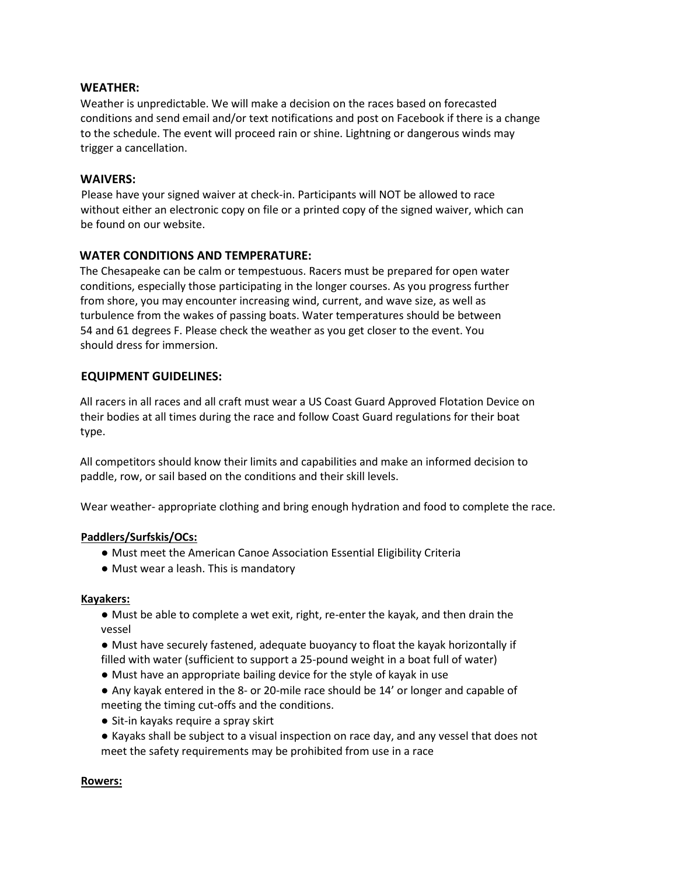#### **WEATHER:**

Weather is unpredictable. We will make a decision on the races based on forecasted conditions and send email and/or text notifications and post on Facebook if there is a change to the schedule. The event will proceed rain or shine. Lightning or dangerous winds may trigger a cancellation.

### **WAIVERS:**

Please have your signed waiver at check-in. Participants will NOT be allowed to race without either an electronic copy on file or a printed copy of the signed waiver, which can be found on our website.

# **WATER CONDITIONS AND TEMPERATURE:**

The Chesapeake can be calm or tempestuous. Racers must be prepared for open water conditions, especially those participating in the longer courses. As you progress further from shore, you may encounter increasing wind, current, and wave size, as well as turbulence from the wakes of passing boats. Water temperatures should be between 54 and 61 degrees F. Please check the weather as you get closer to the event. You should dress for immersion.

# **EQUIPMENT GUIDELINES:**

All racers in all races and all craft must wear a US Coast Guard Approved Flotation Device on their bodies at all times during the race and follow Coast Guard regulations for their boat type.

All competitors should know their limits and capabilities and make an informed decision to paddle, row, or sail based on the conditions and their skill levels.

Wear weather- appropriate clothing and bring enough hydration and food to complete the race.

#### **Paddlers/Surfskis/OCs:**

- Must meet the American Canoe Association Essential Eligibility Criteria
- Must wear a leash. This is mandatory

#### **Kayakers:**

- Must be able to complete a wet exit, right, re-enter the kayak, and then drain the vessel
- Must have securely fastened, adequate buoyancy to float the kayak horizontally if filled with water (sufficient to support a 25-pound weight in a boat full of water)
- Must have an appropriate bailing device for the style of kayak in use
- Any kayak entered in the 8- or 20-mile race should be 14' or longer and capable of meeting the timing cut-offs and the conditions.
- Sit-in kayaks require a spray skirt
- Kayaks shall be subject to a visual inspection on race day, and any vessel that does not meet the safety requirements may be prohibited from use in a race

#### **Rowers:**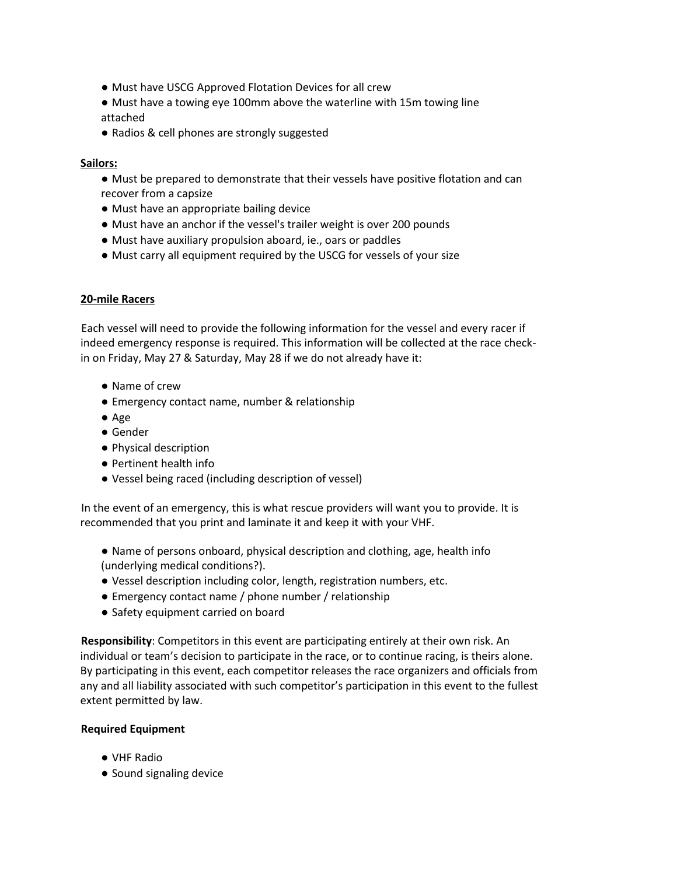- Must have USCG Approved Flotation Devices for all crew
- Must have a towing eye 100mm above the waterline with 15m towing line attached
- Radios & cell phones are strongly suggested

#### **Sailors:**

- Must be prepared to demonstrate that their vessels have positive flotation and can recover from a capsize
- Must have an appropriate bailing device
- Must have an anchor if the vessel's trailer weight is over 200 pounds
- Must have auxiliary propulsion aboard, ie., oars or paddles
- Must carry all equipment required by the USCG for vessels of your size

#### **20-mile Racers**

Each vessel will need to provide the following information for the vessel and every racer if indeed emergency response is required. This information will be collected at the race checkin on Friday, May 27 & Saturday, May 28 if we do not already have it:

- Name of crew
- Emergency contact name, number & relationship
- Age
- Gender
- Physical description
- Pertinent health info
- Vessel being raced (including description of vessel)

In the event of an emergency, this is what rescue providers will want you to provide. It is recommended that you print and laminate it and keep it with your VHF.

- Name of persons onboard, physical description and clothing, age, health info (underlying medical conditions?).
- Vessel description including color, length, registration numbers, etc.
- Emergency contact name / phone number / relationship
- Safety equipment carried on board

**Responsibility**: Competitors in this event are participating entirely at their own risk. An individual or team's decision to participate in the race, or to continue racing, is theirs alone. By participating in this event, each competitor releases the race organizers and officials from any and all liability associated with such competitor's participation in this event to the fullest extent permitted by law.

#### **Required Equipment**

- VHF Radio
- Sound signaling device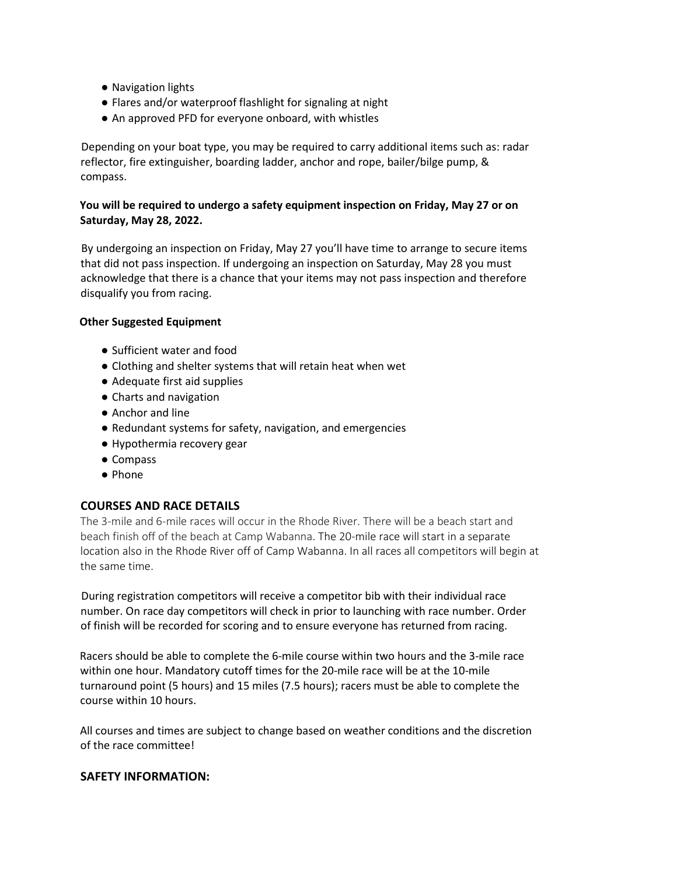- Navigation lights
- Flares and/or waterproof flashlight for signaling at night
- An approved PFD for everyone onboard, with whistles

Depending on your boat type, you may be required to carry additional items such as: radar reflector, fire extinguisher, boarding ladder, anchor and rope, bailer/bilge pump, & compass.

#### **You will be required to undergo a safety equipment inspection on Friday, May 27 or on Saturday, May 28, 2022.**

By undergoing an inspection on Friday, May 27 you'll have time to arrange to secure items that did not pass inspection. If undergoing an inspection on Saturday, May 28 you must acknowledge that there is a chance that your items may not pass inspection and therefore disqualify you from racing.

#### **Other Suggested Equipment**

- Sufficient water and food
- Clothing and shelter systems that will retain heat when wet
- Adequate first aid supplies
- Charts and navigation
- Anchor and line
- Redundant systems for safety, navigation, and emergencies
- Hypothermia recovery gear
- Compass
- Phone

# **COURSES AND RACE DETAILS**

The 3-mile and 6-mile races will occur in the Rhode River. There will be a beach start and beach finish off of the beach at Camp Wabanna. The 20-mile race will start in a separate location also in the Rhode River off of Camp Wabanna. In all races all competitors will begin at the same time.

During registration competitors will receive a competitor bib with their individual race number. On race day competitors will check in prior to launching with race number. Order of finish will be recorded for scoring and to ensure everyone has returned from racing.

Racers should be able to complete the 6-mile course within two hours and the 3-mile race within one hour. Mandatory cutoff times for the 20-mile race will be at the 10-mile turnaround point (5 hours) and 15 miles (7.5 hours); racers must be able to complete the course within 10 hours.

All courses and times are subject to change based on weather conditions and the discretion of the race committee!

#### **SAFETY INFORMATION:**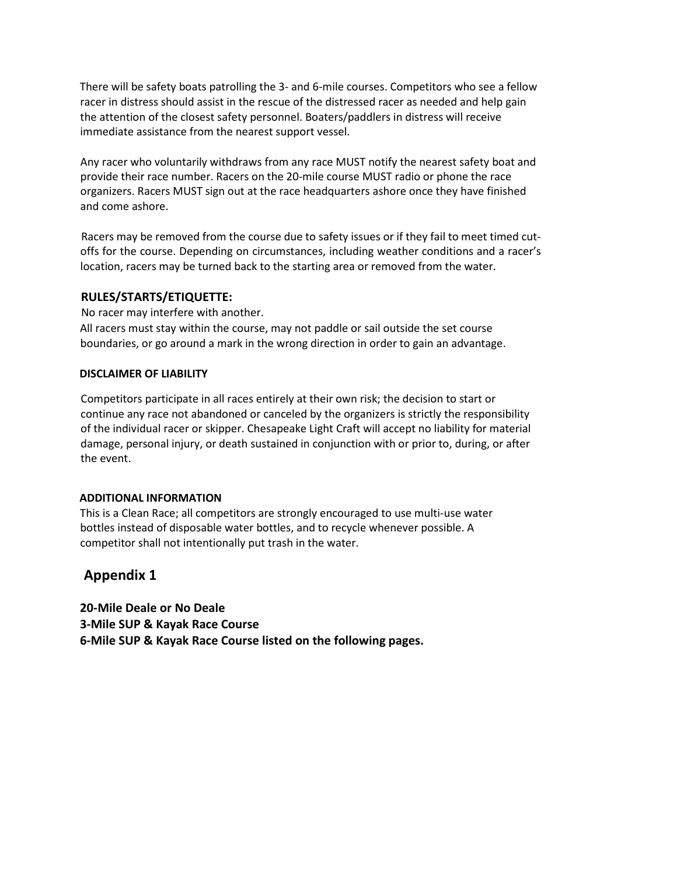There will be safety boats patrolling the 3- and 6-mile courses. Competitors who see a fellow racer in distress should assist in the rescue of the distressed racer as needed and help gain the attention of the closest safety personnel. Boaters/paddlers in distress will receive immediate assistance from the nearest support vessel.

Any racer who voluntarily withdraws from any race MUST notify the nearest safety boat and provide their race number. Racers on the 20-mile course MUST radio or phone the race organizers. Racers MUST sign out at the race headquarters ashore once they have finished and come ashore.

Racers may be removed from the course due to safety issues or if they fail to meet timed cutoffs for the course. Depending on circumstances, including weather conditions and a racer's location, racers may be turned back to the starting area or removed from the water.

#### **RULES/STARTS/ETIQUETTE:**

No racer may interfere with another. All racers must stay within the course, may not paddle or sail outside the set course boundaries, or go around a mark in the wrong direction in order to gain an advantage.

#### **DISCLAIMER OF LIABILITY**

Competitors participate in all races entirely at their own risk; the decision to start or continue any race not abandoned or canceled by the organizers is strictly the responsibility of the individual racer or skipper. Chesapeake Light Craft will accept no liability for material damage, personal injury, or death sustained in conjunction with or prior to, during, or after the event.

# **ADDITIONAL INFORMATION**

This is a Clean Race; all competitors are strongly encouraged to use multi-use water bottles instead of disposable water bottles, and to recycle whenever possible. A competitor shall not intentionally put trash in the water.

# **Appendix 1**

**20-Mile Deale or No Deale 3-Mile SUP & Kayak Race Course 6-Mile SUP & Kayak Race Course listed on the following pages.**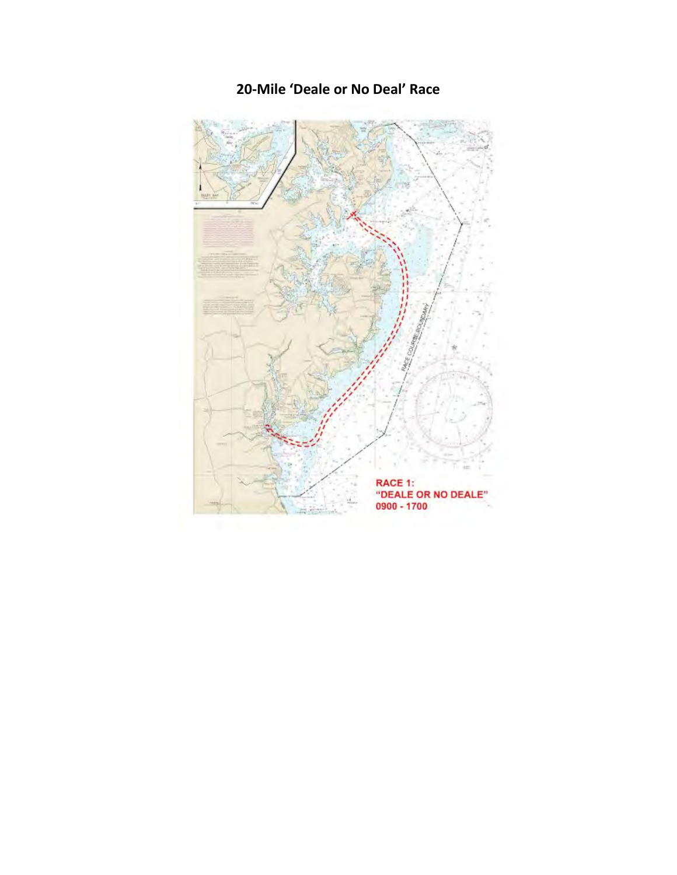

# **20-Mile 'Deale or No Deal' Race**